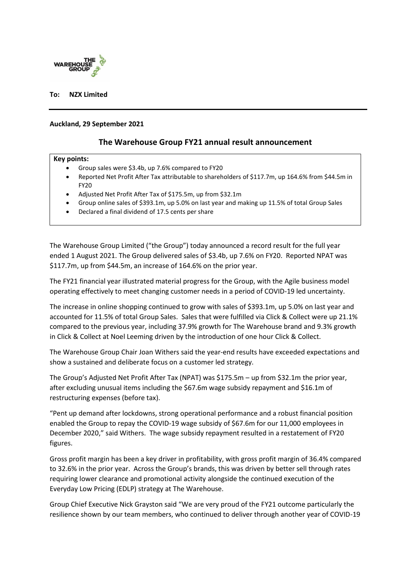

## **To: NZX Limited**

### **Auckland, 29 September 2021**

# **The Warehouse Group FY21 annual result announcement**

#### **Key points:**

- Group sales were \$3.4b, up 7.6% compared to FY20
- Reported Net Profit After Tax attributable to shareholders of \$117.7m, up 164.6% from \$44.5m in FY20
- Adjusted Net Profit After Tax of \$175.5m, up from \$32.1m
- Group online sales of \$393.1m, up 5.0% on last year and making up 11.5% of total Group Sales
- Declared a final dividend of 17.5 cents per share

The Warehouse Group Limited ("the Group") today announced a record result for the full year ended 1 August 2021. The Group delivered sales of \$3.4b, up 7.6% on FY20. Reported NPAT was \$117.7m, up from \$44.5m, an increase of 164.6% on the prior year.

The FY21 financial year illustrated material progress for the Group, with the Agile business model operating effectively to meet changing customer needs in a period of COVID-19 led uncertainty.

The increase in online shopping continued to grow with sales of \$393.1m, up 5.0% on last year and accounted for 11.5% of total Group Sales. Sales that were fulfilled via Click & Collect were up 21.1% compared to the previous year, including 37.9% growth for The Warehouse brand and 9.3% growth in Click & Collect at Noel Leeming driven by the introduction of one hour Click & Collect.

The Warehouse Group Chair Joan Withers said the year-end results have exceeded expectations and show a sustained and deliberate focus on a customer led strategy.

The Group's Adjusted Net Profit After Tax (NPAT) was \$175.5m – up from \$32.1m the prior year, after excluding unusual items including the \$67.6m wage subsidy repayment and \$16.1m of restructuring expenses (before tax).

"Pent up demand after lockdowns, strong operational performance and a robust financial position enabled the Group to repay the COVID-19 wage subsidy of \$67.6m for our 11,000 employees in December 2020," said Withers. The wage subsidy repayment resulted in a restatement of FY20 figures.

Gross profit margin has been a key driver in profitability, with gross profit margin of 36.4% compared to 32.6% in the prior year. Across the Group's brands, this was driven by better sell through rates requiring lower clearance and promotional activity alongside the continued execution of the Everyday Low Pricing (EDLP) strategy at The Warehouse.

Group Chief Executive Nick Grayston said "We are very proud of the FY21 outcome particularly the resilience shown by our team members, who continued to deliver through another year of COVID-19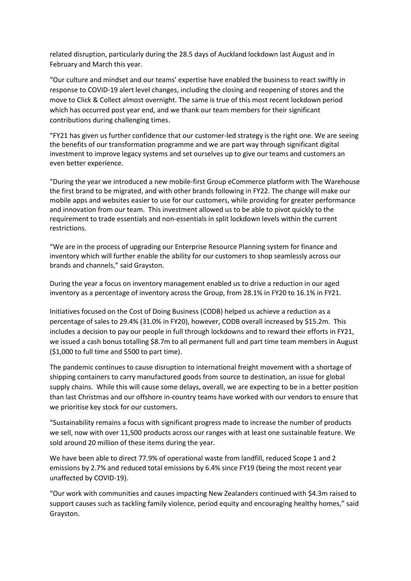related disruption, particularly during the 28.5 days of Auckland lockdown last August and in February and March this year.

"Our culture and mindset and our teams' expertise have enabled the business to react swiftly in response to COVID-19 alert level changes, including the closing and reopening of stores and the move to Click & Collect almost overnight. The same is true of this most recent lockdown period which has occurred post year end, and we thank our team members for their significant contributions during challenging times.

"FY21 has given us further confidence that our customer-led strategy is the right one. We are seeing the benefits of our transformation programme and we are part way through significant digital investment to improve legacy systems and set ourselves up to give our teams and customers an even better experience.

"During the year we introduced a new mobile-first Group eCommerce platform with The Warehouse the first brand to be migrated, and with other brands following in FY22. The change will make our mobile apps and websites easier to use for our customers, while providing for greater performance and innovation from our team. This investment allowed us to be able to pivot quickly to the requirement to trade essentials and non-essentials in split lockdown levels within the current restrictions.

"We are in the process of upgrading our Enterprise Resource Planning system for finance and inventory which will further enable the ability for our customers to shop seamlessly across our brands and channels," said Grayston.

During the year a focus on inventory management enabled us to drive a reduction in our aged inventory as a percentage of inventory across the Group, from 28.1% in FY20 to 16.1% in FY21.

Initiatives focused on the Cost of Doing Business (CODB) helped us achieve a reduction as a percentage of sales to 29.4% (31.0% in FY20), however, CODB overall increased by \$15.2m. This includes a decision to pay our people in full through lockdowns and to reward their efforts in FY21, we issued a cash bonus totalling \$8.7m to all permanent full and part time team members in August (\$1,000 to full time and \$500 to part time).

The pandemic continues to cause disruption to international freight movement with a shortage of shipping containers to carry manufactured goods from source to destination, an issue for global supply chains. While this will cause some delays, overall, we are expecting to be in a better position than last Christmas and our offshore in-country teams have worked with our vendors to ensure that we prioritise key stock for our customers.

"Sustainability remains a focus with significant progress made to increase the number of products we sell, now with over 11,500 products across our ranges with at least one sustainable feature. We sold around 20 million of these items during the year.

We have been able to direct 77.9% of operational waste from landfill, reduced Scope 1 and 2 emissions by 2.7% and reduced total emissions by 6.4% since FY19 (being the most recent year unaffected by COVID-19).

"Our work with communities and causes impacting New Zealanders continued with \$4.3m raised to support causes such as tackling family violence, period equity and encouraging healthy homes," said Grayston.